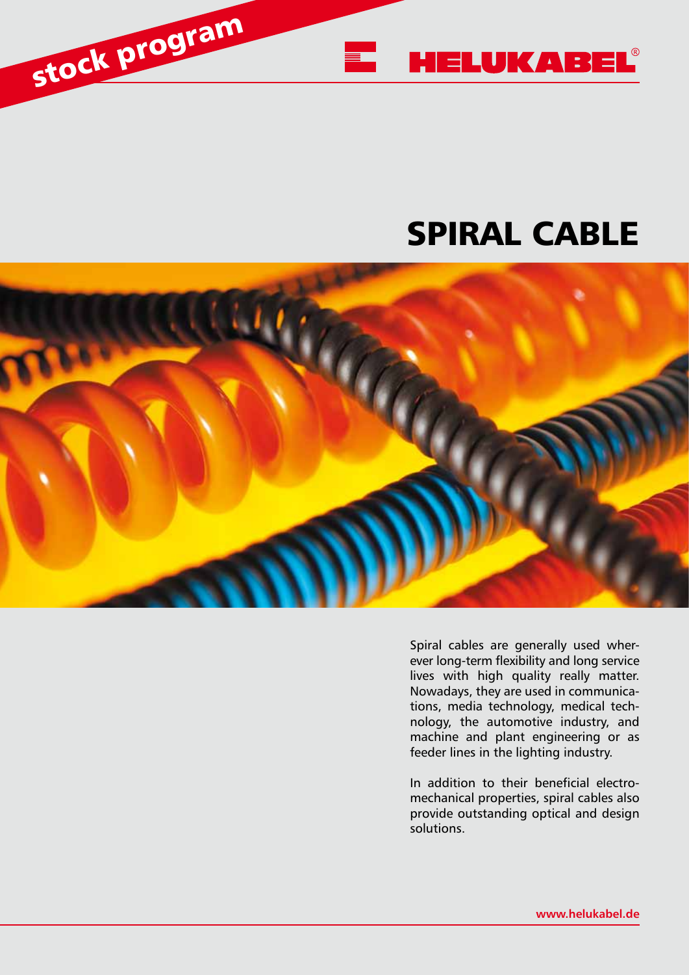

# SPIRAL CABLE



Spiral cables are generally used wherever long-term flexibility and long service lives with high quality really matter. Nowadays, they are used in communications, media technology, medical technology, the automotive industry, and machine and plant engineering or as feeder lines in the lighting industry.

In addition to their beneficial electromechanical properties, spiral cables also provide outstanding optical and design solutions.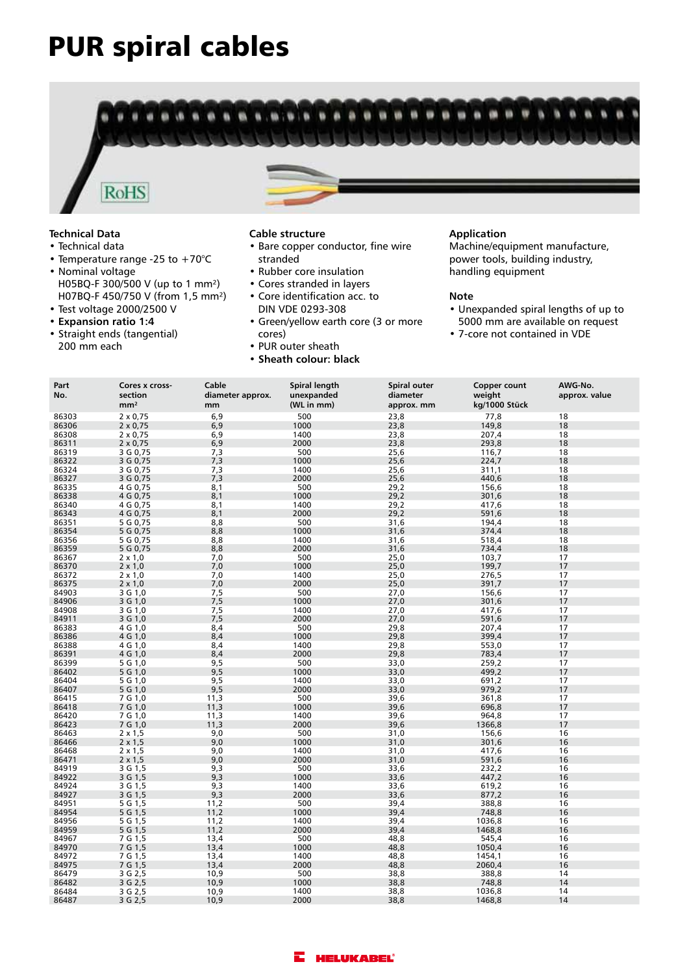# PUR spiral cables



## **Technical Data**

- Technical data
- Temperature range -25 to  $+70^{\circ}$ C
- Nominal voltage H05BQ-F 300/500 V (up to 1 mm²) H07BQ-F 450/750 V (from 1,5 mm²)
- Test voltage 2000/2500 V
- **Expansion ratio 1:4**
- Straight ends (tangential) 200 mm each

#### **Cable structure**

- Bare copper conductor, fine wire stranded
- Rubber core insulation
- Cores stranded in layers
- Core identification acc. to DIN VDE 0293-308
- Green/yellow earth core (3 or more cores)
- PUR outer sheath
- **Sheath colour: black**

### **Application**

Machine/equipment manufacture, power tools, building industry, handling equipment

#### **Note**

- Unexpanded spiral lengths of up to 5000 mm are available on request
- 7-core not contained in VDE

| Part<br>No. | Cores x cross-<br>section<br>mm <sup>2</sup> | Cable<br>diameter approx.<br>mm | Spiral length<br>unexpanded<br>(WL in mm) | Spiral outer<br>diameter<br>approx. mm | Copper count<br>weight<br>kg/1000 Stück | AWG-No.<br>approx. value |
|-------------|----------------------------------------------|---------------------------------|-------------------------------------------|----------------------------------------|-----------------------------------------|--------------------------|
| 86303       | $2 \times 0.75$                              | 6,9                             | 500                                       | 23,8                                   | 77,8                                    | 18                       |
| 86306       | $2 \times 0,75$                              | 6,9                             | 1000                                      | 23,8                                   | 149,8                                   | 18                       |
| 86308       | $2 \times 0,75$                              | 6,9                             | 1400                                      | 23,8                                   | 207,4                                   | 18                       |
| 86311       | $2 \times 0,75$                              | 6,9                             | 2000                                      | 23,8                                   | 293,8                                   | 18                       |
| 86319       | 3 G 0,75                                     | 7,3                             | 500                                       | 25,6                                   | 116,7                                   | 18                       |
| 86322       | 3 G 0,75                                     | 7,3                             | 1000                                      | 25,6                                   | 224,7                                   | 18                       |
| 86324       | 3 G 0,75                                     | 7,3                             | 1400                                      | 25,6                                   | 311,1                                   | 18                       |
| 86327       | 3 G 0,75                                     | 7,3                             | 2000                                      | 25,6                                   | 440,6                                   | 18                       |
| 86335       | 4 G 0,75                                     | 8,1                             | 500                                       | 29,2                                   | 156,6                                   | 18                       |
| 86338       | 4 G 0,75                                     | 8,1                             | 1000                                      | 29,2                                   | 301,6                                   | 18                       |
| 86340       | 4 G 0,75                                     | 8,1                             | 1400                                      | 29,2                                   | 417,6                                   | 18                       |
| 86343       | 4 G 0,75                                     | 8,1                             | 2000                                      | 29,2                                   | 591,6                                   | 18                       |
| 86351       | 5 G 0,75                                     | 8,8                             | 500                                       | 31,6                                   | 194,4                                   | 18                       |
| 86354       | 5 G 0,75                                     | 8,8                             | 1000                                      | 31,6                                   | 374,4                                   | 18                       |
| 86356       | 5 G 0,75                                     | 8,8                             | 1400                                      | 31,6                                   | 518,4                                   | 18                       |
| 86359       | 5 G 0,75                                     | 8,8                             | 2000                                      | 31,6                                   | 734,4                                   | 18                       |
| 86367       | $2 \times 1,0$                               | 7,0                             | 500                                       | 25,0                                   | 103,7                                   | 17                       |
| 86370       | $2 \times 1,0$                               | 7,0                             | 1000                                      | 25,0                                   | 199,7                                   | 17                       |
| 86372       | $2 \times 1,0$                               | 7,0                             | 1400                                      | 25,0                                   | 276,5                                   | 17                       |
| 86375       | $2 \times 1,0$                               | 7,0                             | 2000                                      | 25,0                                   | 391,7                                   | 17                       |
| 84903       | 3 G 1,0                                      | 7,5                             | 500                                       | 27,0                                   | 156,6                                   | 17                       |
| 84906       | 3 G 1,0                                      | 7,5                             | 1000                                      | 27,0                                   | 301,6                                   | 17                       |
| 84908       | 3 G 1,0                                      | 7,5                             | 1400                                      | 27,0                                   | 417,6                                   | 17                       |
| 84911       | 3 G 1,0                                      | 7,5                             | 2000                                      | 27,0                                   | 591,6                                   | 17                       |
| 86383       | 4 G 1,0                                      | 8,4                             | 500                                       | 29,8                                   | 207,4                                   | 17                       |
| 86386       | 4 G 1,0                                      | 8,4                             | 1000                                      | 29,8                                   | 399,4                                   | 17                       |
| 86388       | 4 G 1,0                                      | 8,4                             | 1400                                      | 29,8                                   | 553,0                                   | 17                       |
| 86391       | 4 G 1,0                                      | 8,4                             | 2000                                      | 29,8                                   | 783,4                                   | 17                       |
| 86399       | 5 G 1,0                                      | 9,5                             | 500                                       | 33,0                                   | 259,2                                   | 17                       |
| 86402       | 5 G 1,0                                      | 9,5                             | 1000                                      | 33,0                                   | 499,2                                   | 17                       |
| 86404       | 5 G 1,0                                      | 9,5                             | 1400                                      | 33,0                                   | 691,2                                   | 17                       |
| 86407       | 5 G 1,0                                      | 9,5                             | 2000                                      | 33,0                                   | 979,2                                   | 17                       |
| 86415       | 7 G 1,0                                      | 11,3                            | 500                                       | 39,6                                   | 361,8                                   | 17                       |
| 86418       | 7 G 1,0                                      | 11,3                            | 1000                                      | 39,6                                   | 696,8                                   | 17                       |
| 86420       | 7 G 1,0                                      | 11,3                            | 1400                                      | 39,6                                   | 964,8                                   | 17                       |
| 86423       | 7 G 1,0                                      | 11,3                            | 2000                                      | 39,6                                   | 1366,8                                  | 17                       |
| 86463       | $2 \times 1,5$                               | 9,0                             | 500                                       | 31,0                                   | 156,6                                   | 16                       |
| 86466       | $2 \times 1.5$                               | 9,0                             | 1000                                      | 31,0                                   | 301,6                                   | 16                       |
| 86468       | $2 \times 1,5$                               | 9,0                             | 1400                                      | 31,0                                   | 417,6                                   | 16                       |
| 86471       | $2 \times 1.5$                               | 9,0                             | 2000                                      | 31,0                                   | 591,6                                   | 16                       |
| 84919       | 3 G 1,5                                      | 9,3                             | 500                                       | 33,6                                   | 232,2                                   | 16                       |
| 84922       | 3 G 1,5                                      | 9,3                             | 1000                                      | 33,6                                   | 447,2                                   | 16                       |
| 84924       | 3 G 1,5                                      | 9,3                             | 1400                                      | 33,6                                   | 619,2                                   | 16                       |
| 84927       | 3 G 1,5                                      | 9,3                             | 2000                                      | 33,6                                   | 877,2                                   | 16                       |
| 84951       | 5 G 1,5                                      | 11,2                            | 500                                       | 39,4                                   | 388,8                                   | 16                       |
| 84954       | 5 G 1,5                                      | 11,2                            | 1000                                      | 39,4                                   | 748,8                                   | 16                       |
| 84956       | 5 G 1,5                                      | 11,2                            | 1400                                      | 39,4                                   | 1036,8                                  | 16                       |
| 84959       | 5 G 1,5                                      | 11,2                            | 2000                                      | 39,4                                   | 1468,8                                  | 16                       |
| 84967       | 7 G 1,5                                      | 13,4                            | 500                                       | 48,8                                   | 545,4                                   | 16                       |
| 84970       | 7 G 1,5                                      | 13,4                            | 1000                                      | 48,8                                   | 1050,4                                  | 16                       |
| 84972       | 7 G 1,5                                      | 13,4                            | 1400                                      | 48,8                                   | 1454,1                                  | 16                       |
| 84975       | 7 G 1,5                                      | 13,4                            | 2000                                      | 48,8                                   | 2060,4                                  | 16                       |
| 86479       | 3 G 2,5                                      | 10,9                            | 500                                       | 38,8                                   | 388,8                                   | 14                       |
| 86482       | 3 G 2,5                                      | 10,9                            | 1000                                      | 38,8                                   | 748,8                                   | 14                       |
| 86484       | 3 G 2,5                                      | 10,9                            | 1400                                      | 38,8                                   | 1036,8                                  | 14                       |
| 86487       | 3 G 2,5                                      | 10,9                            | 2000                                      | 38,8                                   | 1468,8                                  | 14                       |

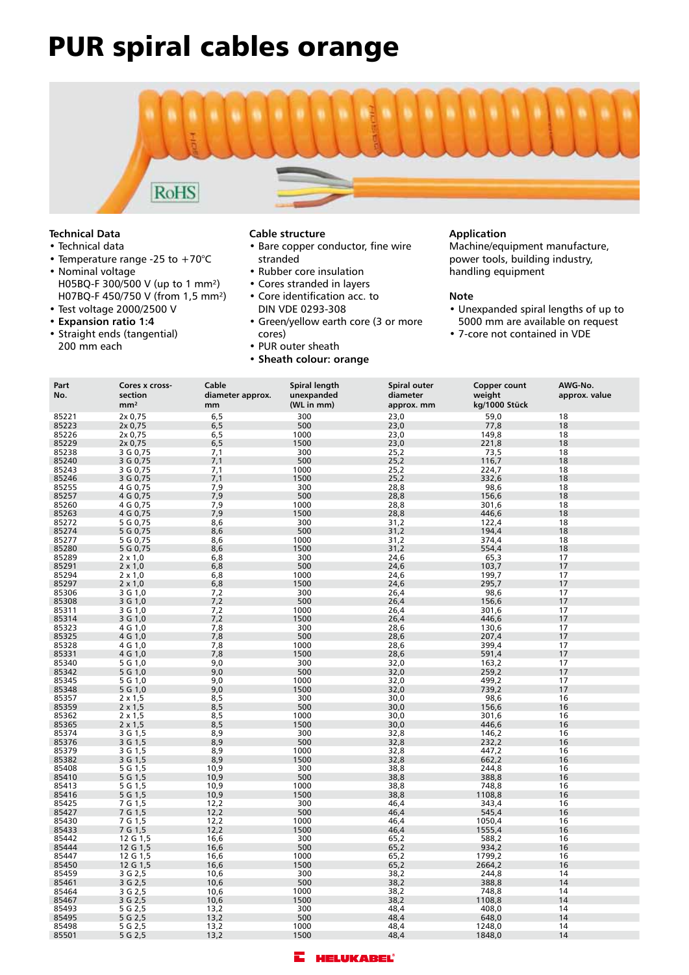# PUR spiral cables orange



## **Technical Data**

- Technical data
- Temperature range -25 to +70°C
- Nominal voltage H05BQ-F 300/500 V (up to 1 mm²) H07BQ-F 450/750 V (from 1,5 mm²)
- Test voltage 2000/2500 V
- **Expansion ratio 1:4** • Straight ends (tangential) 200 mm each

### **Cable structure**

- Bare copper conductor, fine wire stranded
- Rubber core insulation
- Cores stranded in layers
- Core identification acc. to DIN VDE 0293-308
- Green/yellow earth core (3 or more cores)
- PUR outer sheath
- **Sheath colour: orange**

### **Application**

Machine/equipment manufacture, power tools, building industry, handling equipment

### **Note**

- Unexpanded spiral lengths of up to 5000 mm are available on request
- 7-core not contained in VDE

| Part<br>No.    | Cores x cross-<br>section<br>mm <sup>2</sup> | Cable<br>diameter approx.<br>mm | Spiral length<br>unexpanded<br>(WL in mm) | Spiral outer<br>diameter<br>approx. mm | Copper count<br>weight<br>kg/1000 Stück | AWG-No.<br>approx. value |
|----------------|----------------------------------------------|---------------------------------|-------------------------------------------|----------------------------------------|-----------------------------------------|--------------------------|
|                |                                              |                                 | 300                                       |                                        | 59,0                                    |                          |
| 85221<br>85223 | 2x 0,75<br>2x 0,75                           | 6, 5<br>6, 5                    | 500                                       | 23,0<br>23,0                           | 77,8                                    | 18<br>18                 |
| 85226          | 2x 0,75                                      | 6,5                             | 1000                                      | 23,0                                   | 149,8                                   | 18                       |
| 85229          | 2x 0,75                                      | 6,5                             | 1500                                      | 23,0                                   | 221,8                                   | 18                       |
| 85238          | 3 G 0,75                                     | 7,1                             | 300                                       | 25,2                                   | 73,5                                    | 18                       |
| 85240          | 3 G 0,75                                     | 7,1                             | 500                                       | 25,2                                   | 116,7                                   | 18                       |
| 85243          | 3 G 0,75                                     | 7,1                             | 1000                                      | 25,2                                   | 224,7                                   | 18                       |
| 85246          | 3 G 0,75                                     | 7,1                             | 1500                                      | 25,2                                   | 332,6                                   | 18                       |
| 85255          | 4 G 0,75                                     | 7,9                             | 300                                       | 28,8                                   | 98,6                                    | 18                       |
| 85257          | 4 G 0,75                                     | 7,9                             | 500                                       | 28,8                                   | 156,6                                   | 18                       |
| 85260          | 4 G 0,75                                     | 7,9                             | 1000                                      |                                        | 301,6                                   | 18                       |
| 85263          | 4 G 0,75                                     | 7,9                             | 1500                                      | 28,8<br>28,8                           | 446,6                                   | 18                       |
| 85272          | 5 G 0,75                                     | 8,6                             | 300                                       | 31,2                                   | 122,4                                   | 18                       |
| 85274          | 5 G 0,75                                     | 8,6                             | 500                                       | 31,2                                   | 194,4                                   | 18                       |
| 85277          | 5 G 0,75                                     | 8,6                             | 1000                                      | 31,2                                   | 374,4                                   | 18                       |
| 85280          | 5 G 0,75                                     | 8,6                             | 1500                                      | 31,2                                   | 554.4                                   | 18                       |
| 85289          | $2 \times 1,0$                               | 6,8                             | 300                                       | 24,6                                   | 65,3                                    | 17                       |
| 85291          | $2 \times 1,0$                               | 6,8                             | 500                                       | 24,6                                   | 103,7                                   | 17                       |
| 85294          | $2 \times 1,0$                               | 6,8                             | 1000                                      | 24,6                                   | 199,7                                   | 17                       |
| 85297          | $2 \times 1,0$                               | 6,8                             | 1500                                      | 24,6                                   | 295,7                                   | 17                       |
| 85306          | 3 G 1,0                                      | 7,2                             | 300                                       | 26,4                                   | 98,6                                    | 17                       |
| 85308          | 3 G 1,0                                      | 7,2                             | 500                                       | 26,4                                   | 156,6                                   | 17                       |
| 85311          | 3 G 1,0                                      | 7,2                             | 1000                                      | 26,4                                   | 301,6                                   | 17                       |
| 85314          | 3 G 1,0                                      | 7,2                             | 1500                                      | 26,4                                   | 446,6                                   | 17                       |
| 85323          | 4 G 1,0                                      | 7,8                             | 300                                       | 28,6                                   | 130,6                                   | 17                       |
| 85325          | 4 G 1,0                                      | 7,8                             | 500                                       | 28,6                                   | 207,4                                   | 17                       |
| 85328          | 4 G 1,0                                      | 7,8                             | 1000                                      | 28,6                                   | 399,4                                   | 17                       |
| 85331          | 4 G 1,0                                      | 7,8                             | 1500                                      | 28,6                                   | 591,4                                   | 17                       |
| 85340          | 5 G 1,0                                      | 9,0                             | 300                                       | 32,0                                   | 163,2                                   | 17                       |
| 85342          | 5G1,0                                        | 9,0                             | 500                                       | 32,0                                   | 259,2                                   | 17                       |
| 85345          | 5 G 1,0                                      | 9,0                             | 1000                                      | 32,0                                   | 499,2                                   | 17                       |
| 85348          | 5 G 1,0                                      | 9,0                             | 1500                                      | 32,0                                   | 739,2                                   | 17                       |
| 85357          | $2 \times 1,5$                               | 8,5                             | 300                                       | 30,0                                   | 98,6                                    | 16                       |
| 85359          | $2 \times 1,5$                               | 8,5                             | 500                                       | 30,0                                   | 156,6                                   | 16                       |
| 85362          | 2 x 1,5                                      | 8,5                             | 1000                                      | 30,0                                   | 301,6                                   | 16                       |
| 85365          | $2 \times 1.5$                               | 8,5                             | 1500                                      | 30,0                                   | 446.6                                   | 16                       |
| 85374          | 3 G 1,5<br>3 G 1,5                           | 8,9<br>8,9                      | 300                                       | 32,8                                   | 146,2                                   | 16                       |
| 85376<br>85379 |                                              | 8,9                             | 500<br>1000                               | 32,8<br>32,8                           | 232,2<br>447,2                          | 16                       |
| 85382          | 3 G 1,5<br>3 G 1,5                           | 8,9                             | 1500                                      | 32,8                                   | 662,2                                   | 16<br>16                 |
| 85408          | 5 G 1,5                                      | 10,9                            | 300                                       | 38,8                                   | 244,8                                   | 16                       |
| 85410          | 5 G 1, 5                                     | 10,9                            | 500                                       | 38,8                                   | 388,8                                   | 16                       |
| 85413          | 5 G 1,5                                      | 10,9                            | 1000                                      | 38,8                                   | 748,8                                   | 16                       |
| 85416          | 5 G 1,5                                      | 10,9                            | 1500                                      | 38,8                                   | 1108,8                                  | 16                       |
| 85425          | 7 G 1,5                                      | 12,2                            | 300                                       | 46,4                                   | 343,4                                   | 16                       |
| 85427          | 7 G 1,5                                      | 12,2                            | 500                                       | 46,4                                   | 545,4                                   | 16                       |
| 85430          | 7 G 1,5                                      | 12,2                            | 1000                                      | 46,4                                   | 1050,4                                  | 16                       |
| 85433          | 7 G 1,5                                      | 12,2                            | 1500                                      | 46.4                                   | 1555,4                                  | 16                       |
| 85442          | 12 G 1,5                                     | 16,6                            | 300                                       | 65,2                                   | 588,2                                   | 16                       |
| 85444          | 12 G 1,5                                     | 16,6                            | 500                                       | 65,2                                   | 934,2                                   | 16                       |
| 85447          | 12 G 1,5                                     | 16,6                            | 1000                                      | 65,2                                   | 1799,2                                  | 16                       |
| 85450          | 12 G 1,5                                     | 16,6                            | 1500                                      | 65,2                                   | 2664,2                                  | 16                       |
| 85459          | 3 G 2,5                                      | 10,6                            | 300                                       | 38,2                                   | 244,8                                   | 14                       |
| 85461          | 3 G 2,5                                      | 10,6                            | 500                                       | 38,2                                   | 388,8                                   | 14                       |
| 85464          | 3 G 2,5                                      | 10,6                            | 1000                                      | 38,2                                   | 748,8                                   | 14                       |
| 85467          | 3 G 2,5                                      | 10,6                            | 1500                                      | 38,2                                   | 1108,8                                  | 14                       |
| 85493          | 5 G 2,5                                      | 13,2                            | 300                                       | 48,4                                   | 408,0                                   | 14                       |
| 85495          | 5 G 2,5                                      | 13,2                            | 500                                       | 48,4                                   | 648,0                                   | 14                       |
| 85498          | 5 G 2,5                                      | 13,2                            | 1000                                      | 48,4                                   | 1248,0                                  | 14                       |
| 85501          | 5 G 2,5                                      | 13,2                            | 1500                                      | 48,4                                   | 1848,0                                  | 14                       |

![](_page_2_Picture_22.jpeg)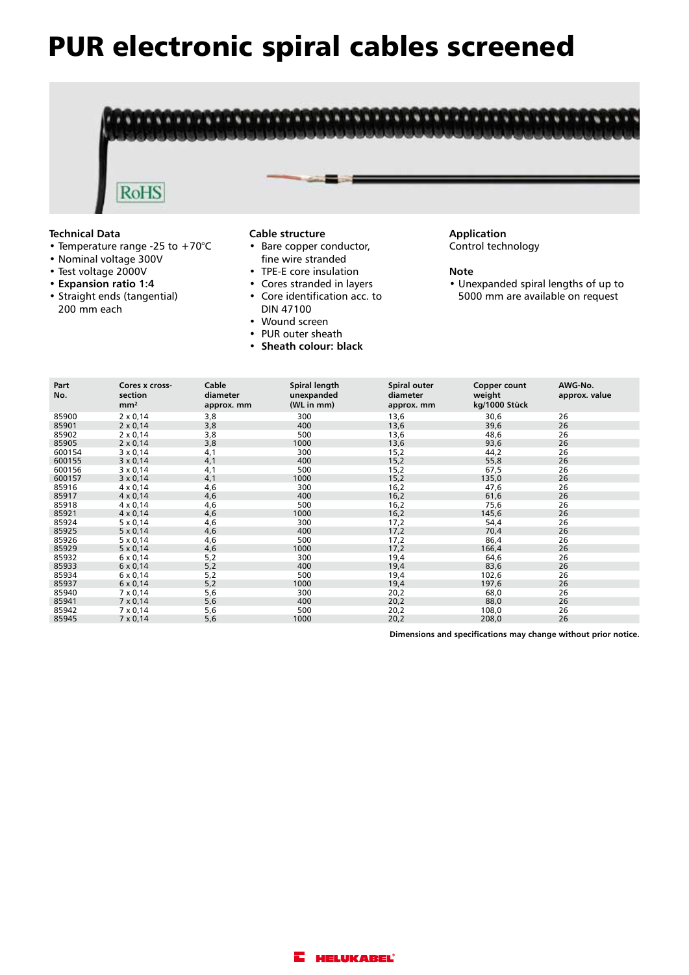# PUR electronic spiral cables screened

![](_page_3_Picture_1.jpeg)

- Temperature range -25 to +70°C
- Nominal voltage 300V
- Test voltage 2000V
- **Expansion ratio 1:4**
- Straight ends (tangential) 200 mm each
- Bare copper conductor, fine wire stranded
- TPE-E core insulation
- Cores stranded in layers
- Core identification acc. to DIN 47100
- 
- Wound screen • PUR outer sheath
- **Sheath colour: black**

Control technology

#### **Note**

• Unexpanded spiral lengths of up to 5000 mm are available on request

| Part<br>No. | Cores x cross-<br>section | Cable<br>diameter | Spiral length<br>unexpanded | Spiral outer<br>diameter | Copper count<br>weight | AWG-No.<br>approx. value |
|-------------|---------------------------|-------------------|-----------------------------|--------------------------|------------------------|--------------------------|
|             | mm <sup>2</sup>           | approx. mm        | (WL in mm)                  | approx. mm               | kg/1000 Stück          |                          |
| 85900       | $2 \times 0,14$           | 3,8               | 300                         | 13,6                     | 30,6                   | 26                       |
| 85901       | $2 \times 0,14$           | 3,8               | 400                         | 13,6                     | 39,6                   | 26                       |
| 85902       | $2 \times 0.14$           | 3,8               | 500                         | 13,6                     | 48,6                   | 26                       |
| 85905       | $2 \times 0,14$           | 3,8               | 1000                        | 13,6                     | 93,6                   | 26                       |
| 600154      | $3 \times 0.14$           | 4,1               | 300                         | 15,2                     | 44,2                   | 26                       |
| 600155      | $3 \times 0,14$           | 4,1               | 400                         | 15,2                     | 55,8                   | 26                       |
| 600156      | $3 \times 0.14$           | 4,1               | 500                         | 15,2                     | 67,5                   | 26                       |
| 600157      | $3 \times 0,14$           | 4,1               | 1000                        | 15,2                     | 135,0                  | 26                       |
| 85916       | $4 \times 0,14$           | 4,6               | 300                         | 16,2                     | 47,6                   | 26                       |
| 85917       | $4 \times 0.14$           | 4,6               | 400                         | 16,2                     | 61,6                   | 26                       |
| 85918       | $4 \times 0.14$           | 4,6               | 500                         | 16,2                     | 75,6                   | 26                       |
| 85921       | $4 \times 0,14$           | 4,6               | 1000                        | 16,2                     | 145,6                  | 26                       |
| 85924       | $5 \times 0,14$           | 4,6               | 300                         | 17,2                     | 54,4                   | 26                       |
| 85925       | $5 \times 0,14$           | 4,6               | 400                         | 17,2                     | 70,4                   | 26                       |
| 85926       | $5 \times 0.14$           | 4,6               | 500                         | 17,2                     | 86,4                   | 26                       |
| 85929       | $5 \times 0.14$           | 4,6               | 1000                        | 17,2                     | 166,4                  | 26                       |
| 85932       | $6 \times 0,14$           | 5,2               | 300                         | 19,4                     | 64,6                   | 26                       |
| 85933       | $6 \times 0.14$           | 5,2               | 400                         | 19,4                     | 83,6                   | 26                       |
| 85934       | $6 \times 0.14$           | 5,2               | 500                         | 19,4                     | 102,6                  | 26                       |
| 85937       | $6 \times 0,14$           | 5,2               | 1000                        | 19,4                     | 197,6                  | 26                       |
| 85940       | $7 \times 0,14$           | 5,6               | 300                         | 20,2                     | 68,0                   | 26                       |
| 85941       | $7 \times 0.14$           | 5,6               | 400                         | 20,2                     | 88,0                   | 26                       |
| 85942       | $7 \times 0.14$           | 5,6               | 500                         | 20,2                     | 108,0                  | 26                       |
| 85945       | $7 \times 0,14$           | 5,6               | 1000                        | 20,2                     | 208,0                  | 26                       |

**Dimensions and specifications may change without prior notice.**

![](_page_3_Picture_19.jpeg)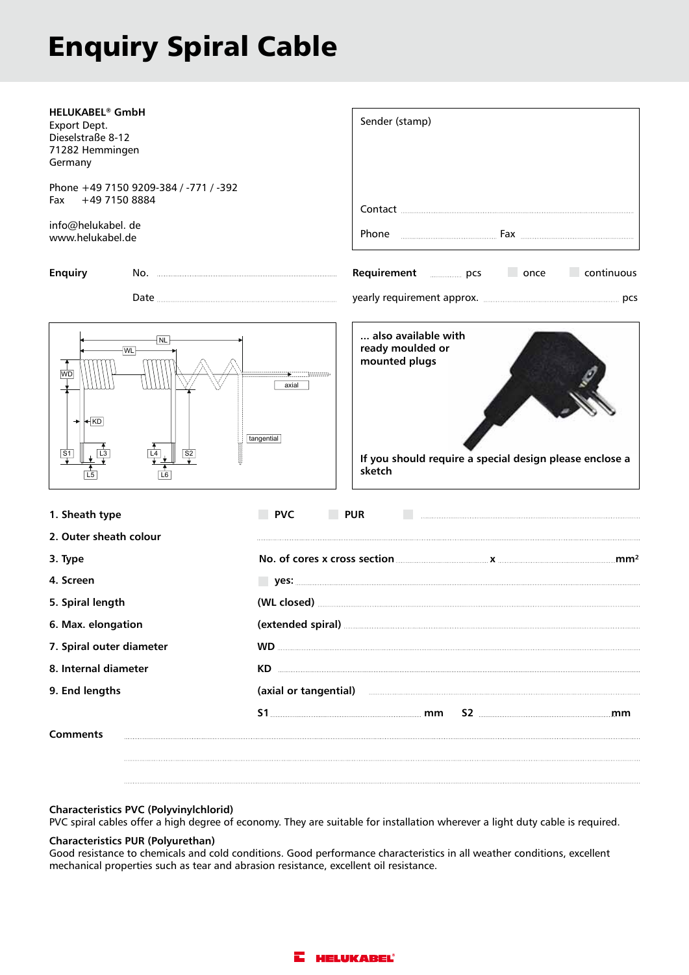# Enquiry Spiral Cable

| <b>HELUKABEL<sup>®</sup> GmbH</b><br>Export Dept.<br>Dieselstraße 8-12<br>71282 Hemmingen<br>Germany | Sender (stamp)                                                                                                                                                                                                                      |  |  |  |  |
|------------------------------------------------------------------------------------------------------|-------------------------------------------------------------------------------------------------------------------------------------------------------------------------------------------------------------------------------------|--|--|--|--|
| Phone +49 7150 9209-384 / -771 / -392<br>+49 7150 8884<br>Fax                                        |                                                                                                                                                                                                                                     |  |  |  |  |
| info@helukabel. de<br>www.helukabel.de                                                               |                                                                                                                                                                                                                                     |  |  |  |  |
| <b>Enquiry</b>                                                                                       | $\Box$ continuous<br>Requirement <b>manufacturers</b> pcs<br>once on the sense of the sense of the sense of the sense of the sense of the sense of the sense of the sense o                                                         |  |  |  |  |
|                                                                                                      |                                                                                                                                                                                                                                     |  |  |  |  |
| <b>NL</b><br> WL <br><b>WD</b><br>$+KD$<br>S1<br> S2 <br>L <sub>5</sub>                              | also available with<br>ready moulded or<br>mounted plugs<br>axial<br>tangential<br>If you should require a special design please enclose a<br>sketch                                                                                |  |  |  |  |
| 1. Sheath type                                                                                       | <b>PVC</b><br><b>PUR</b>                                                                                                                                                                                                            |  |  |  |  |
| 2. Outer sheath colour                                                                               |                                                                                                                                                                                                                                     |  |  |  |  |
| 3. Type                                                                                              | No. of cores x cross section <u>community x</u> contract x cores x cross section contract x contract x contract x contract x contract x contract x contract x contract x contract x contract x contract x contract x contract x con |  |  |  |  |
| 4. Screen                                                                                            |                                                                                                                                                                                                                                     |  |  |  |  |
| 5. Spiral length                                                                                     |                                                                                                                                                                                                                                     |  |  |  |  |
| 6. Max. elongation                                                                                   |                                                                                                                                                                                                                                     |  |  |  |  |
| 7. Spiral outer diameter                                                                             |                                                                                                                                                                                                                                     |  |  |  |  |
| 8. Internal diameter                                                                                 |                                                                                                                                                                                                                                     |  |  |  |  |
| 9. End lengths                                                                                       | (axial or tangential)                                                                                                                                                                                                               |  |  |  |  |
| <b>Comments</b>                                                                                      | $S2$ must mean measure that $\mathbf{m}\mathbf{m}$                                                                                                                                                                                  |  |  |  |  |
|                                                                                                      |                                                                                                                                                                                                                                     |  |  |  |  |

## **Characteristics PVC (Polyvinylchlorid)**

PVC spiral cables offer a high degree of economy. They are suitable for installation wherever a light duty cable is required.

### **Characteristics PUR (Polyurethan)**

Good resistance to chemicals and cold conditions. Good performance characteristics in all weather conditions, excellent mechanical properties such as tear and abrasion resistance, excellent oil resistance.

![](_page_4_Picture_6.jpeg)